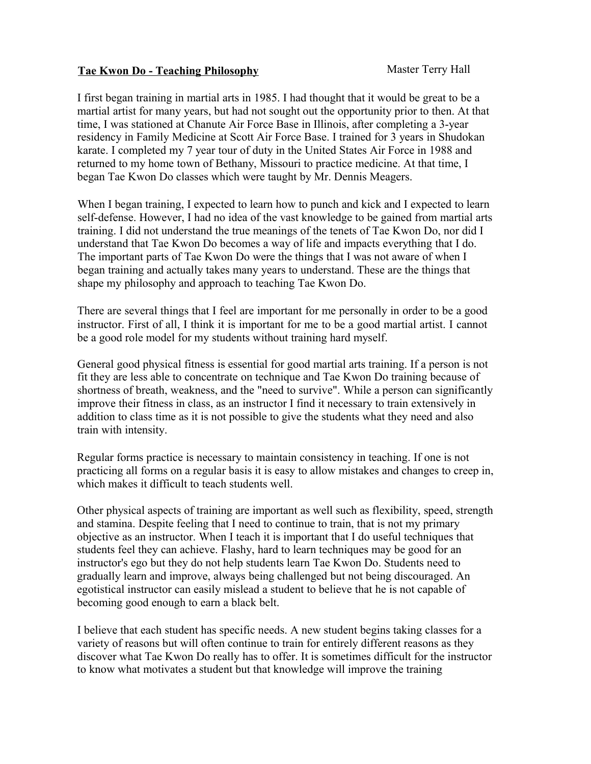## **Tae Kwon Do - Teaching Philosophy** Master Terry Hall

I first began training in martial arts in 1985. I had thought that it would be great to be a martial artist for many years, but had not sought out the opportunity prior to then. At that time, I was stationed at Chanute Air Force Base in Illinois, after completing a 3-year residency in Family Medicine at Scott Air Force Base. I trained for 3 years in Shudokan karate. I completed my 7 year tour of duty in the United States Air Force in 1988 and returned to my home town of Bethany, Missouri to practice medicine. At that time, I began Tae Kwon Do classes which were taught by Mr. Dennis Meagers.

When I began training, I expected to learn how to punch and kick and I expected to learn self-defense. However, I had no idea of the vast knowledge to be gained from martial arts training. I did not understand the true meanings of the tenets of Tae Kwon Do, nor did I understand that Tae Kwon Do becomes a way of life and impacts everything that I do. The important parts of Tae Kwon Do were the things that I was not aware of when I began training and actually takes many years to understand. These are the things that shape my philosophy and approach to teaching Tae Kwon Do.

There are several things that I feel are important for me personally in order to be a good instructor. First of all, I think it is important for me to be a good martial artist. I cannot be a good role model for my students without training hard myself.

General good physical fitness is essential for good martial arts training. If a person is not fit they are less able to concentrate on technique and Tae Kwon Do training because of shortness of breath, weakness, and the "need to survive". While a person can significantly improve their fitness in class, as an instructor I find it necessary to train extensively in addition to class time as it is not possible to give the students what they need and also train with intensity.

Regular forms practice is necessary to maintain consistency in teaching. If one is not practicing all forms on a regular basis it is easy to allow mistakes and changes to creep in, which makes it difficult to teach students well.

Other physical aspects of training are important as well such as flexibility, speed, strength and stamina. Despite feeling that I need to continue to train, that is not my primary objective as an instructor. When I teach it is important that I do useful techniques that students feel they can achieve. Flashy, hard to learn techniques may be good for an instructor's ego but they do not help students learn Tae Kwon Do. Students need to gradually learn and improve, always being challenged but not being discouraged. An egotistical instructor can easily mislead a student to believe that he is not capable of becoming good enough to earn a black belt.

I believe that each student has specific needs. A new student begins taking classes for a variety of reasons but will often continue to train for entirely different reasons as they discover what Tae Kwon Do really has to offer. It is sometimes difficult for the instructor to know what motivates a student but that knowledge will improve the training